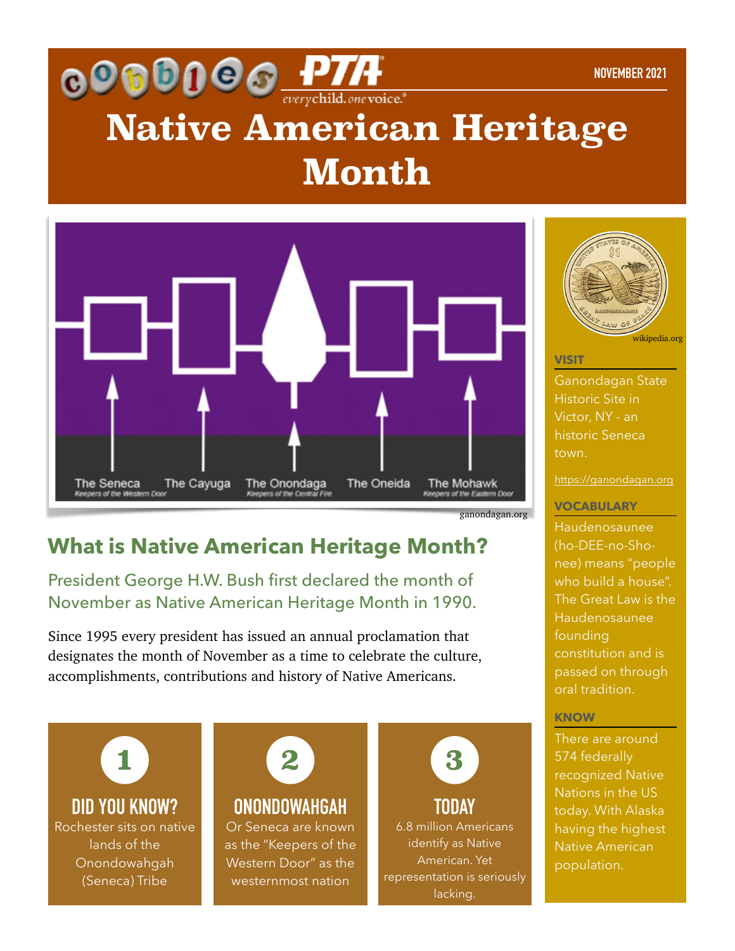# **COCODO CONTA NOVEMER PORTIFULAR PORTIFULAR CONTACT CONTROL Month**



ganondagan.org

## **What is Native American Heritage Month?**

President George H.W. Bush first declared the month of November as Native American Heritage Month in 1990.

Since 1995 every president has issued an annual proclamation that designates the month of November as a time to celebrate the culture, accomplishments, contributions and history of Native Americans.



**DID YOU KNOW?** Rochester sits on native lands of the Onondowahgah (Seneca) Tribe



## **ONONDOWAHGAH**

Or Seneca are known as the "Keepers of the Western Door" as the westernmost nation



**TODAY** 6.8 million Americans identify as Native American. Yet representation is seriously lacking.



**VISIT**

Ganondagan State Historic Site in Victor, NY - an historic Seneca town.

<https://ganondagan.org>

### **VOCABULARY**

Haudenosaunee (ho-DEE-no-Shonee) means "people who build a house". The Great Law is the Haudenosaunee founding constitution and is passed on through oral tradition.

### **KNOW**

There are around 574 federally recognized Native Nations in the US today. With Alaska having the highest Native American population.